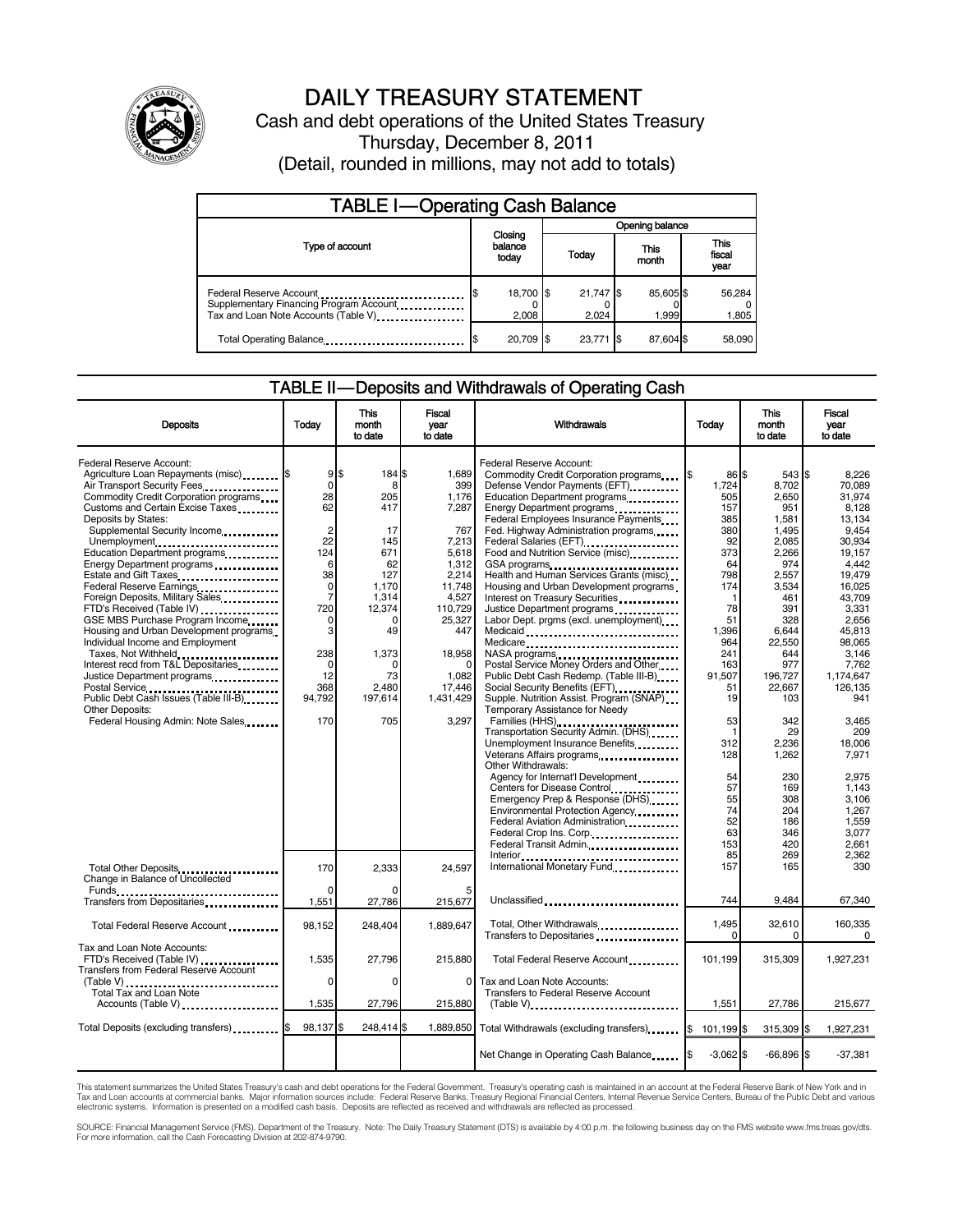

# DAILY TREASURY STATEMENT

Cash and debt operations of the United States Treasury Thursday, December 8, 2011 (Detail, rounded in millions, may not add to totals)

| <b>TABLE I-Operating Cash Balance</b>                                                                      |                             |                    |                 |                        |  |                   |                        |                 |
|------------------------------------------------------------------------------------------------------------|-----------------------------|--------------------|-----------------|------------------------|--|-------------------|------------------------|-----------------|
|                                                                                                            | Closing<br>balance<br>today |                    | Opening balance |                        |  |                   |                        |                 |
| Type of account                                                                                            |                             |                    |                 | This<br>Today<br>month |  |                   | This<br>fiscal<br>year |                 |
| Federal Reserve Account<br>Supplementary Financing Program Account<br>Tax and Loan Note Accounts (Table V) |                             | 18,700 \$<br>2,008 |                 | 21,747 \$<br>2.024     |  | 85,605\$<br>1,999 |                        | 56,284<br>1,805 |
| Total Operating Balance                                                                                    |                             | 20.709 \$          |                 | 23.771 \$              |  | 87.604 \$         |                        | 58,090          |

## TABLE II — Deposits and Withdrawals of Operating Cash

| <b>Deposits</b>                              | Today          | This<br>month<br>to date | Fiscal<br>year<br>to date | <b>Withdrawals</b>                                    | <b>Today</b> | <b>This</b><br>month<br>to date | <b>Fiscal</b><br>vear<br>to date |
|----------------------------------------------|----------------|--------------------------|---------------------------|-------------------------------------------------------|--------------|---------------------------------|----------------------------------|
| Federal Reserve Account:                     |                |                          |                           | Federal Reserve Account:                              |              |                                 |                                  |
| Agriculture Loan Repayments (misc) \$        | $9$ $$$        | 184 \$                   | 1.689                     | Commodity Credit Corporation programs                 | 86 \$        | 543 \$                          | 8.226                            |
| Air Transport Security Fees.                 | $\mathbf 0$    | 8                        | 399                       | Defense Vendor Payments (EFT)                         | 1.724        | 8.702                           | 70.089                           |
| Commodity Credit Corporation programs        | 28             | 205                      | 1,176                     | Education Department programs                         | 505          | 2,650                           | 31,974                           |
| Customs and Certain Excise Taxes             | 62             | 417                      | 7,287                     | Energy Department programs<br>                        | 157          | 951                             | 8,128                            |
| Deposits by States:                          |                |                          |                           | Federal Employees Insurance Payments                  | 385          | 1,581                           | 13.134                           |
| Supplemental Security Income                 | $\overline{2}$ | 17                       | 767                       | Fed. Highway Administration programs                  | 380          | 1.495                           | 9.454                            |
| Unemployment                                 | 22             | 145                      | 7,213                     |                                                       | 92           | 2,085                           | 30,934                           |
| Education Department programs                | 124            | 671                      | 5,618                     | Food and Nutrition Service (misc)                     | 373          | 2,266                           | 19.157                           |
| Energy Department programs                   | 6              | 62                       | 1,312                     | GSA programs                                          | 64           | 974                             | 4.442                            |
| Estate and Gift Taxes                        | 38             | 127                      | 2.214                     | Health and Human Services Grants (misc)               | 798          | 2,557                           | 19,479                           |
| Federal Reserve Earnings                     | 0              | 1,170                    | 11,748                    | Housing and Urban Development programs                | 174          | 3,534                           | 16,025                           |
| Foreign Deposits, Military Sales.            | $\overline{7}$ | 1,314                    | 4,527                     | Interest on Treasury Securities                       | $\mathbf{1}$ | 461                             | 43.709                           |
| FTD's Received (Table IV)                    | 720            | 12,374                   | 110,729                   | Justice Department programs                           | 78           | 391                             | 3,331                            |
| GSE MBS Purchase Program Income              | 0              | 0                        | 25,327                    | Labor Dept. prgms (excl. unemployment)                | 51           | 328                             | 2,656                            |
| Housing and Urban Development programs       | 3              | 49                       | 447                       | Medicaid                                              | 1,396        | 6,644                           | 45,813                           |
| Individual Income and Employment             |                |                          |                           | Medicare                                              | 964          | 22,550                          | 98.065                           |
| Taxes, Not Withheld                          | 238            | 1,373                    | 18,958                    |                                                       | 241          | 644                             | 3.146                            |
| Interest recd from T&L Depositaries          | 0              | 0                        | O                         | Postal Service Money Orders and Other                 | 163          | 977                             | 7,762                            |
| Justice Department programs                  | 12             | 73                       | 1,082                     | Public Debt Cash Redemp. (Table III-B)                | 91,507       | 196,727                         | 1,174,647                        |
|                                              | 368            | 2,480                    | 17,446                    | Social Security Benefits (EFT)                        | 51           | 22,667                          | 126.135                          |
| Public Debt Cash Issues (Table III-B)        | 94,792         | 197,614                  | 1.431.429                 | Supple. Nutrition Assist. Program (SNAP)              | 19           | 103                             | 941                              |
| Other Deposits:                              |                |                          |                           | Temporary Assistance for Needy                        |              |                                 |                                  |
| Federal Housing Admin: Note Sales            | 170            | 705                      | 3,297                     | Families (HHS)                                        | 53           | 342                             | 3,465                            |
|                                              |                |                          |                           | Transportation Security Admin. (DHS)                  | $\mathbf 1$  | 29                              | 209                              |
|                                              |                |                          |                           | Unemployment Insurance Benefits                       | 312          | 2.236                           | 18.006                           |
|                                              |                |                          |                           | Veterans Affairs programs<br>                         | 128          | 1,262                           | 7,971                            |
|                                              |                |                          |                           | Other Withdrawals:                                    |              |                                 |                                  |
|                                              |                |                          |                           | Agency for Internat'l Development                     | 54           | 230                             | 2.975                            |
|                                              |                |                          |                           | Centers for Disease Control                           | 57           | 169                             | 1,143                            |
|                                              |                |                          |                           | Emergency Prep & Response (DHS)                       | 55           | 308                             | 3,106                            |
|                                              |                |                          |                           | Environmental Protection Agency                       | 74           | 204                             | 1.267                            |
|                                              |                |                          |                           | Federal Aviation Administration                       | 52           | 186                             | 1.559                            |
|                                              |                |                          |                           | Federal Crop Ins. Corp                                | 63           | 346                             | 3,077                            |
|                                              |                |                          |                           | Federal Transit Admin.                                | 153          | 420                             | 2.661                            |
|                                              |                |                          |                           |                                                       | 85           | 269                             | 2.362                            |
| Total Other Deposits                         | 170            | 2.333                    | 24.597                    | International Monetary Fund                           | 157          | 165                             | 330                              |
| Change in Balance of Uncollected             |                |                          |                           |                                                       |              |                                 |                                  |
| Funds                                        |                |                          |                           |                                                       |              |                                 |                                  |
|                                              | 1,551          | 27,786                   | 215,677                   | Unclassified                                          | 744          | 9.484                           | 67.340                           |
|                                              |                |                          |                           | Total, Other Withdrawals                              | 1,495        | 32,610                          | 160,335                          |
| Total Federal Reserve Account                | 98,152         | 248,404                  | 1,889,647                 | Transfers to Depositaries                             | $\Omega$     | 0                               | $\Omega$                         |
| Tax and Loan Note Accounts:                  |                |                          |                           |                                                       |              |                                 |                                  |
| FTD's Received (Table IV)                    | 1,535          | 27,796                   | 215,880                   | Total Federal Reserve Account                         | 101,199      | 315,309                         | 1,927,231                        |
| Transfers from Federal Reserve Account       |                |                          |                           |                                                       |              |                                 |                                  |
| (Table V)                                    | $\Omega$       | $\Omega$                 | $\Omega$                  | Tax and Loan Note Accounts:                           |              |                                 |                                  |
| Total Tax and Loan Note                      |                |                          |                           | Transfers to Federal Reserve Account                  |              |                                 |                                  |
| Accounts (Table V)                           | 1,535          | 27,796                   | 215,880                   |                                                       | 1,551        | 27,786                          | 215,677                          |
|                                              |                |                          |                           |                                                       |              |                                 |                                  |
| Total Deposits (excluding transfers) [10001] | 98,137         | 248,414 \$               |                           | 1,889,850 Total Withdrawals (excluding transfers) [\$ | 101,199 \$   | 315,309 \$                      | 1,927,231                        |
|                                              |                |                          |                           |                                                       |              |                                 |                                  |
|                                              |                |                          |                           | Net Change in Operating Cash Balance                  | $-3,062$ \$  | $-66.896$ \$                    | $-37,381$                        |
|                                              |                |                          |                           |                                                       |              |                                 |                                  |

This statement summarizes the United States Treasury's cash and debt operations for the Federal Government. Treasury's operating cash is maintained in an account at the Federal Reserve Bank of New York and in<br>Tax and Loan

SOURCE: Financial Management Service (FMS), Department of the Treasury. Note: The Daily Treasury Statement (DTS) is available by 4:00 p.m. the following business day on the FMS website www.fms.treas.gov/dts.<br>For more infor